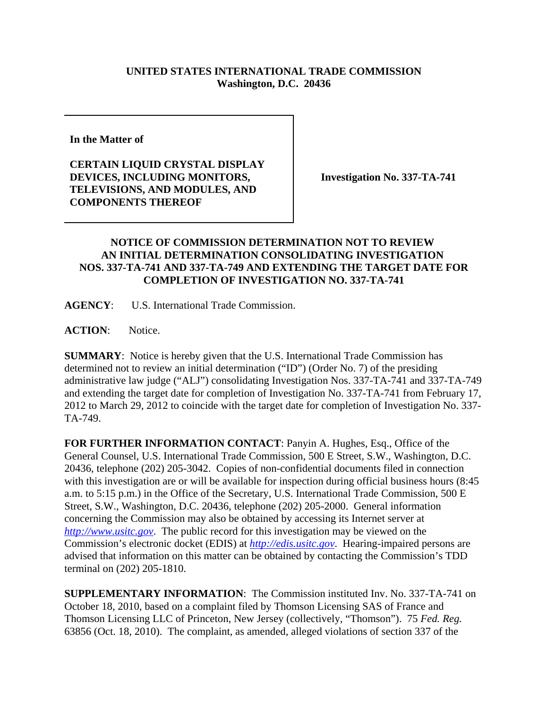## **UNITED STATES INTERNATIONAL TRADE COMMISSION Washington, D.C. 20436**

**In the Matter of** 

**CERTAIN LIQUID CRYSTAL DISPLAY DEVICES, INCLUDING MONITORS, TELEVISIONS, AND MODULES, AND COMPONENTS THEREOF**

**Investigation No. 337-TA-741**

## **NOTICE OF COMMISSION DETERMINATION NOT TO REVIEW AN INITIAL DETERMINATION CONSOLIDATING INVESTIGATION NOS. 337-TA-741 AND 337-TA-749 AND EXTENDING THE TARGET DATE FOR COMPLETION OF INVESTIGATION NO. 337-TA-741**

**AGENCY**: U.S. International Trade Commission.

ACTION: Notice.

**SUMMARY**: Notice is hereby given that the U.S. International Trade Commission has determined not to review an initial determination ("ID") (Order No. 7) of the presiding administrative law judge ("ALJ") consolidating Investigation Nos. 337-TA-741 and 337-TA-749 and extending the target date for completion of Investigation No. 337-TA-741 from February 17, 2012 to March 29, 2012 to coincide with the target date for completion of Investigation No. 337- TA-749.

**FOR FURTHER INFORMATION CONTACT**: Panyin A. Hughes, Esq., Office of the General Counsel, U.S. International Trade Commission, 500 E Street, S.W., Washington, D.C. 20436, telephone (202) 205-3042. Copies of non-confidential documents filed in connection with this investigation are or will be available for inspection during official business hours (8:45 a.m. to 5:15 p.m.) in the Office of the Secretary, U.S. International Trade Commission, 500 E Street, S.W., Washington, D.C. 20436, telephone (202) 205-2000. General information concerning the Commission may also be obtained by accessing its Internet server at *http://www.usitc.gov*. The public record for this investigation may be viewed on the Commission's electronic docket (EDIS) at *http://edis.usitc.gov*. Hearing-impaired persons are advised that information on this matter can be obtained by contacting the Commission's TDD terminal on (202) 205-1810.

**SUPPLEMENTARY INFORMATION**: The Commission instituted Inv. No. 337-TA-741 on October 18, 2010, based on a complaint filed by Thomson Licensing SAS of France and Thomson Licensing LLC of Princeton, New Jersey (collectively, "Thomson"). 75 *Fed. Reg.* 63856 (Oct. 18, 2010). The complaint, as amended, alleged violations of section 337 of the